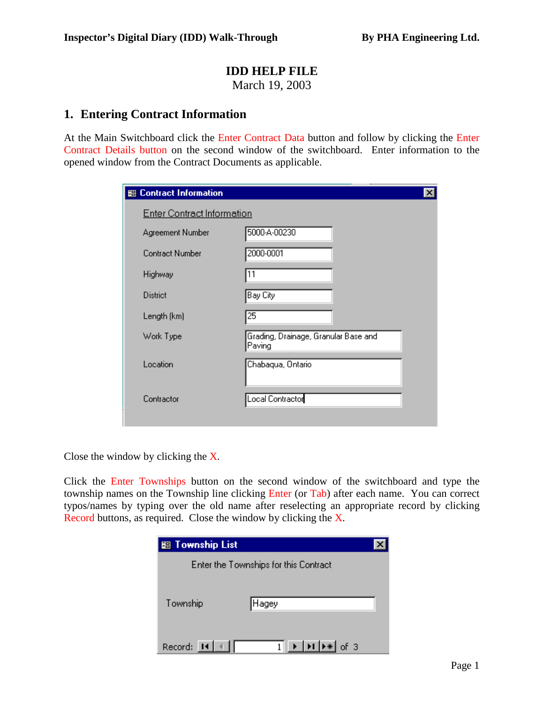### **IDD HELP FILE**

March 19, 2003

### **1. Entering Contract Information**

At the Main Switchboard click the Enter Contract Data button and follow by clicking the Enter Contract Details button on the second window of the switchboard. Enter information to the opened window from the Contract Documents as applicable.

| <b>SB Contract Information</b>    | $\boldsymbol{\mathsf{x}}$                      |  |  |  |  |  |  |  |
|-----------------------------------|------------------------------------------------|--|--|--|--|--|--|--|
| <b>Enter Contract Information</b> |                                                |  |  |  |  |  |  |  |
| Agreement Number                  | 5000-A-00230                                   |  |  |  |  |  |  |  |
| Contract Number                   | 2000-0001                                      |  |  |  |  |  |  |  |
| Highway                           | 11                                             |  |  |  |  |  |  |  |
| District                          | Bay City                                       |  |  |  |  |  |  |  |
| Length (km)                       | 25                                             |  |  |  |  |  |  |  |
| Work Type                         | Grading, Drainage, Granular Base and<br>Paving |  |  |  |  |  |  |  |
| Location                          | Chabaqua, Ontario                              |  |  |  |  |  |  |  |
| Contractor                        | Local Contractor                               |  |  |  |  |  |  |  |

Close the window by clicking the X.

Click the Enter Townships button on the second window of the switchboard and type the township names on the Township line clicking Enter (or Tab) after each name. You can correct typos/names by typing over the old name after reselecting an appropriate record by clicking Record buttons, as required. Close the window by clicking the X.

| <b>BB</b> Township List |                                                                                     |  |
|-------------------------|-------------------------------------------------------------------------------------|--|
|                         | Enter the Townships for this Contract                                               |  |
|                         |                                                                                     |  |
| Township                | Hagey)                                                                              |  |
|                         |                                                                                     |  |
| Record: 14              | $\blacktriangleright$   $\blacktriangleright$   $\blacktriangleright$ $\ast$   of 3 |  |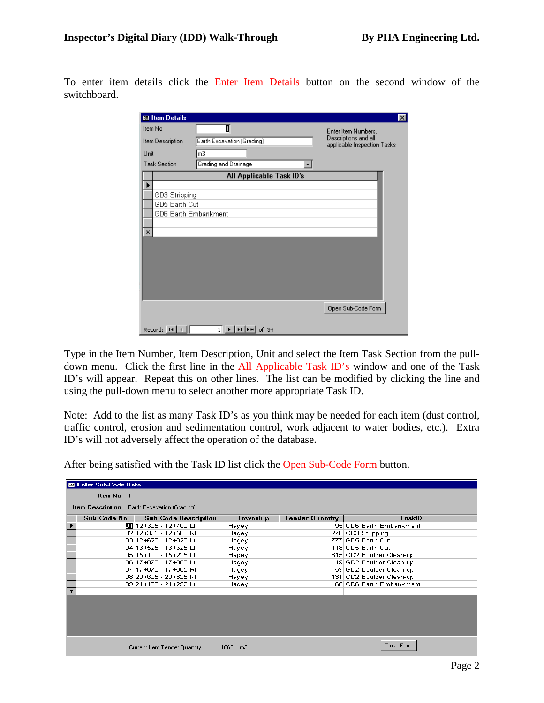To enter item details click the Enter Item Details button on the second window of the switchboard.

| 图 Item Details       |                                         | $\vert x \vert$                                     |
|----------------------|-----------------------------------------|-----------------------------------------------------|
| Item No              | 1                                       | Enter Item Numbers,                                 |
| Item Description     | Earth Excavation (Grading)              | Descriptions and all<br>applicable Inspection Tasks |
| Unit                 | mЗ                                      |                                                     |
| <b>Task Section</b>  | Grading and Drainage                    |                                                     |
|                      | All Applicable Task ID's                |                                                     |
|                      |                                         |                                                     |
| GD3 Stripping        |                                         |                                                     |
| GD5 Earth Cut        |                                         |                                                     |
| GD6 Earth Embankment |                                         |                                                     |
| ₩                    |                                         |                                                     |
|                      |                                         |                                                     |
|                      |                                         |                                                     |
|                      |                                         |                                                     |
|                      |                                         |                                                     |
|                      |                                         |                                                     |
|                      |                                         |                                                     |
|                      |                                         |                                                     |
|                      |                                         | Open Sub-Code Form                                  |
|                      |                                         |                                                     |
| Record: $\boxed{14}$ | $1 \rightarrow  H $ $\rightarrow$ of 34 |                                                     |

Type in the Item Number, Item Description, Unit and select the Item Task Section from the pulldown menu. Click the first line in the All Applicable Task ID's window and one of the Task ID's will appear. Repeat this on other lines. The list can be modified by clicking the line and using the pull-down menu to select another more appropriate Task ID.

Note: Add to the list as many Task ID's as you think may be needed for each item (dust control, traffic control, erosion and sedimentation control, work adjacent to water bodies, etc.). Extra ID's will not adversely affect the operation of the database.

|                   | 翻 Enter Sub-Code Data                              |                              |          |                        |                          |  |  |  |  |  |
|-------------------|----------------------------------------------------|------------------------------|----------|------------------------|--------------------------|--|--|--|--|--|
|                   | Item No<br>- 1                                     |                              |          |                        |                          |  |  |  |  |  |
|                   | <b>Item Description</b> Earth Excavation (Grading) |                              |          |                        |                          |  |  |  |  |  |
|                   |                                                    |                              |          |                        |                          |  |  |  |  |  |
|                   | Sub-Code No                                        | <b>Sub-Code Description</b>  | Township | <b>Tender Quantity</b> | <b>TaskID</b>            |  |  |  |  |  |
|                   |                                                    | 12+325 - 12+400 Lt           | Hagey    |                        | 95 GD6 Earth Embankment  |  |  |  |  |  |
|                   |                                                    | 02 12+325 - 12+500 Rt        | Hagey    |                        | 278 GD3 Stripping        |  |  |  |  |  |
|                   |                                                    | 03 12+625 - 12+820 Lt        | Hagey    |                        | 777 GD5 Earth Cut        |  |  |  |  |  |
|                   |                                                    | 04 13+525 - 13+625 Lt        | Hagey    |                        | 118 GD5 Earth Cut        |  |  |  |  |  |
|                   |                                                    | 05 15 + 100 - 15 + 225 Lt    | Hagey    |                        | 315 GD2 Boulder Clean-up |  |  |  |  |  |
|                   |                                                    | 06 17 + 070 - 17 + 085 Lt    | Hagey    |                        | 19 GD2 Boulder Clean-up  |  |  |  |  |  |
|                   |                                                    | 07 17 + 070 - 17 + 085 Rt    | Hagey    |                        | 59 GD2 Boulder Clean-up  |  |  |  |  |  |
|                   |                                                    | 08 20+625 - 20+825 Rt        | Hagey    |                        | 131 GD2 Boulder Clean-up |  |  |  |  |  |
|                   |                                                    | 09 21 + 180 - 21 + 252 Lt    | Hagey    |                        | 68 GD6 Earth Embankment  |  |  |  |  |  |
| $\overline{\ast}$ |                                                    |                              |          |                        |                          |  |  |  |  |  |
|                   |                                                    |                              |          |                        |                          |  |  |  |  |  |
|                   |                                                    |                              |          |                        |                          |  |  |  |  |  |
|                   |                                                    |                              |          |                        |                          |  |  |  |  |  |
|                   |                                                    |                              |          |                        |                          |  |  |  |  |  |
|                   |                                                    |                              |          |                        |                          |  |  |  |  |  |
|                   |                                                    |                              |          |                        |                          |  |  |  |  |  |
|                   |                                                    |                              |          |                        |                          |  |  |  |  |  |
|                   |                                                    | Current Item Tender Quantity | 1860 m3  |                        | Close Form               |  |  |  |  |  |
|                   |                                                    |                              |          |                        |                          |  |  |  |  |  |

After being satisfied with the Task ID list click the Open Sub-Code Form button.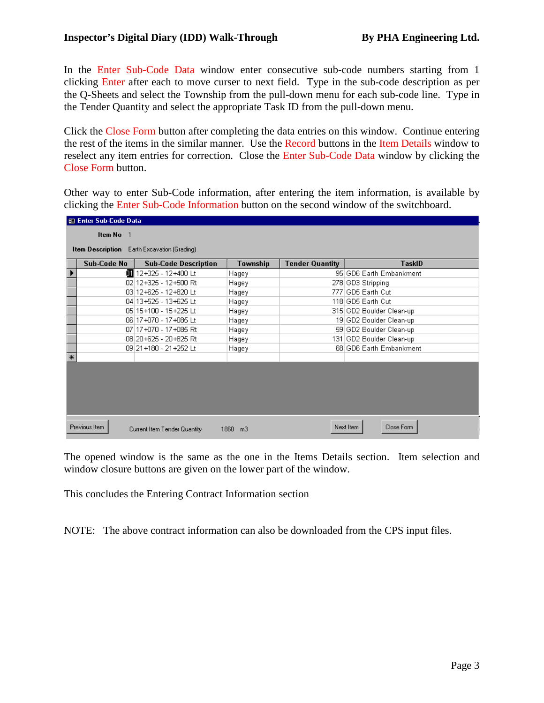In the Enter Sub-Code Data window enter consecutive sub-code numbers starting from 1 clicking Enter after each to move curser to next field. Type in the sub-code description as per the Q-Sheets and select the Township from the pull-down menu for each sub-code line. Type in the Tender Quantity and select the appropriate Task ID from the pull-down menu.

Click the Close Form button after completing the data entries on this window. Continue entering the rest of the items in the similar manner. Use the Record buttons in the Item Details window to reselect any item entries for correction. Close the Enter Sub-Code Data window by clicking the Close Form button.

Other way to enter Sub-Code information, after entering the item information, is available by clicking the Enter Sub-Code Information button on the second window of the switchboard.

|        | 图 Enter Sub-Code Data                       |                                |          |                        |                          |  |  |  |  |  |
|--------|---------------------------------------------|--------------------------------|----------|------------------------|--------------------------|--|--|--|--|--|
|        | Item No 1                                   |                                |          |                        |                          |  |  |  |  |  |
|        |                                             |                                |          |                        |                          |  |  |  |  |  |
|        | Item Description Earth Excavation (Grading) |                                |          |                        |                          |  |  |  |  |  |
|        | Sub-Code No                                 | <b>Sub-Code Description</b>    | Township | <b>Tender Quantity</b> | TaskID                   |  |  |  |  |  |
|        |                                             | <b>O</b> dd 12+325 - 12+400 Lt | Hagey    |                        | 95 GD6 Earth Embankment  |  |  |  |  |  |
|        |                                             | 02 12+325 - 12+500 Rt          | Hagey    |                        | 278 GD3 Stripping        |  |  |  |  |  |
|        |                                             | 03 12+625 - 12+820 Lt          | Hagey    |                        | 777 GD5 Earth Cut        |  |  |  |  |  |
|        |                                             | 04 13+525 - 13+625 Lt          | Hagey    |                        | 118 GD5 Earth Cut        |  |  |  |  |  |
|        |                                             | 05 15+100 - 15+225 Lt          | Hagey    |                        | 315 GD2 Boulder Clean-up |  |  |  |  |  |
|        |                                             | 06 17+070 - 17+085 Lt          | Hagey    |                        | 19 GD2 Boulder Clean-up  |  |  |  |  |  |
|        |                                             | 07 17 + 070 - 17 + 085 Rt      | Hagey    |                        | 59 GD2 Boulder Clean-up  |  |  |  |  |  |
|        |                                             | 08 20+625 - 20+825 Rt          | Hagey    |                        | 131 GD2 Boulder Clean-up |  |  |  |  |  |
|        |                                             | 09 21 + 180 - 21 + 252 Lt      | Hagey    |                        | 68 GD6 Earth Embankment  |  |  |  |  |  |
| $\ast$ |                                             |                                |          |                        |                          |  |  |  |  |  |
|        |                                             |                                |          |                        |                          |  |  |  |  |  |
|        |                                             |                                |          |                        |                          |  |  |  |  |  |
|        |                                             |                                |          |                        |                          |  |  |  |  |  |
|        |                                             |                                |          |                        |                          |  |  |  |  |  |
|        |                                             |                                |          |                        |                          |  |  |  |  |  |
|        |                                             |                                |          |                        |                          |  |  |  |  |  |
|        | Previous Item                               | Current Item Tender Quantity   | 1860 m3  |                        | Close Form<br>Next Item  |  |  |  |  |  |
|        |                                             |                                |          |                        |                          |  |  |  |  |  |

The opened window is the same as the one in the Items Details section. Item selection and window closure buttons are given on the lower part of the window.

This concludes the Entering Contract Information section

NOTE: The above contract information can also be downloaded from the CPS input files.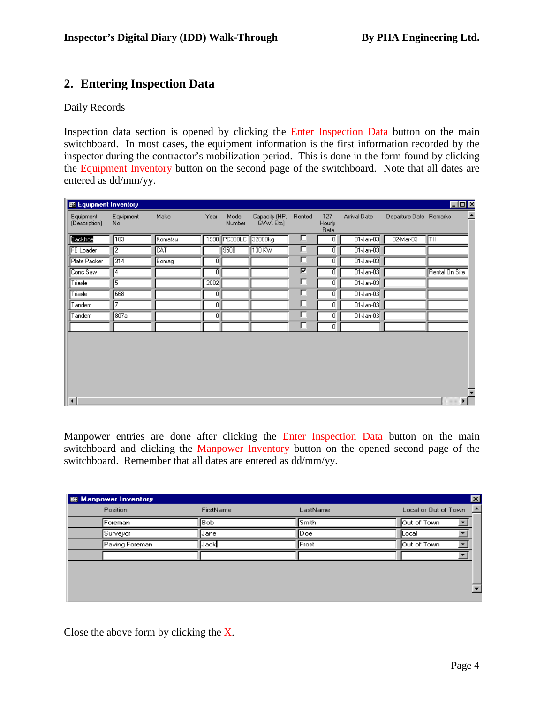## **2. Entering Inspection Data**

#### Daily Records

Inspection data section is opened by clicking the Enter Inspection Data button on the main switchboard. In most cases, the equipment information is the first information recorded by the inspector during the contractor's mobilization period. This is done in the form found by clicking the Equipment Inventory button on the second page of the switchboard. Note that all dates are entered as dd/mm/yy.

| <b>SB Equipment Inventory</b> |                  |         |                |                 |                            |        |                       |                  |                        | $\Box$ D $\times$                                 |
|-------------------------------|------------------|---------|----------------|-----------------|----------------------------|--------|-----------------------|------------------|------------------------|---------------------------------------------------|
| Equipment<br>(Description)    | Equipment<br>No. | Make    | Year           | Model<br>Number | Capacity (HP,<br>GVW, Etc) | Rented | 127<br>Hourly<br>Rate | Arrival Date     | Departure Date Remarks |                                                   |
| Backhoe                       | 103              | Komatsu | 1990           | PC300LC         | 32000kg                    | □      | $\overline{0}$        | $01\sqrt{an-03}$ | 02-Mar-03              | ∏тн                                               |
| <b>FE</b> Loader              | ╔                | CAT     |                | 950B            | 130 KW                     | г      | $\overline{0}$        | 01-Jan-03        |                        |                                                   |
| Plate Packer                  | $\sqrt{314}$     | Bomag   | $\overline{0}$ |                 |                            | г      | $\overline{0}$        | 01-Jan-03        |                        |                                                   |
| Conc Saw                      | 14               |         | $\overline{0}$ |                 |                            | ⊽      | $\overline{0}$        | $01$ Jan- $03$   |                        | Rental On Site                                    |
| Triaxle                       | 15               |         | 2002           |                 |                            | ⊏      | $\overline{0}$        | $01$ Jan- $03$   |                        |                                                   |
| Triaxle                       | 668              |         | 0              |                 |                            | ⊏      | $\overline{0}$        | $01$ Jan- $03$   |                        |                                                   |
| Tandem                        | 7                |         | 0              |                 |                            | г      | $\overline{0}$        | $01$ Jan- $03$   |                        |                                                   |
| Tandem                        | 807a             |         | 0              |                 |                            | г      | $\overline{0}$        | $01$ -Jan- $03$  |                        |                                                   |
|                               |                  |         |                |                 |                            | г      | $\overline{0}$        |                  |                        |                                                   |
| $\left  \right $              |                  |         |                |                 |                            |        |                       |                  |                        | $\overline{\phantom{0}}$<br>$\blacktriangleright$ |

Manpower entries are done after clicking the Enter Inspection Data button on the main switchboard and clicking the Manpower Inventory button on the opened second page of the switchboard. Remember that all dates are entered as dd/mm/yy.

| $\vert x \vert$<br><b>B</b> Manpower Inventory |           |                |                                  |  |  |  |  |  |
|------------------------------------------------|-----------|----------------|----------------------------------|--|--|--|--|--|
| Position                                       | FirstName | LastName       | <b>A</b><br>Local or Out of Town |  |  |  |  |  |
| ∦Foreman                                       | Bob       | Smith          | Out of Town                      |  |  |  |  |  |
| Surveyor                                       | IJane.    | $\mathsf{Doe}$ | lLocal                           |  |  |  |  |  |
| Paving Foreman                                 | Jack      | Frost          | Out of Town                      |  |  |  |  |  |
|                                                |           |                |                                  |  |  |  |  |  |
|                                                |           |                |                                  |  |  |  |  |  |
|                                                |           |                |                                  |  |  |  |  |  |
|                                                |           |                | $\blacktriangledown$             |  |  |  |  |  |
|                                                |           |                |                                  |  |  |  |  |  |

Close the above form by clicking the X.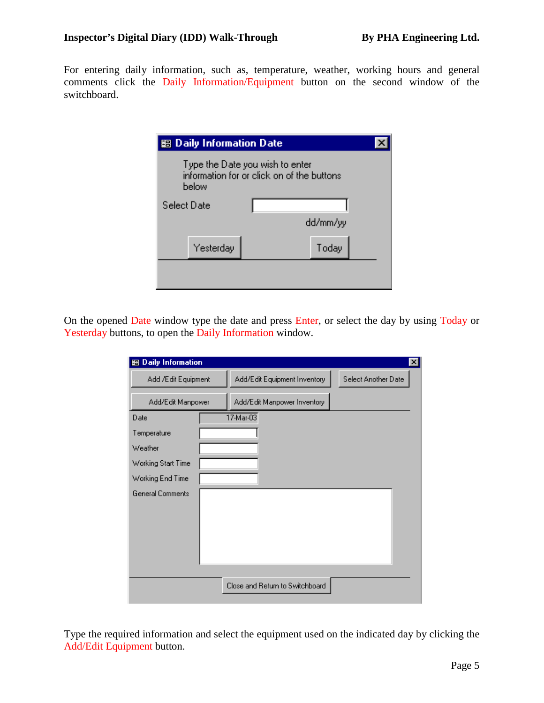For entering daily information, such as, temperature, weather, working hours and general comments click the Daily Information/Equipment button on the second window of the switchboard.

| 图 Daily Information Date                                                               |  |          |  |  |  |  |  |  |
|----------------------------------------------------------------------------------------|--|----------|--|--|--|--|--|--|
| Type the Date you wish to enter<br>information for or click on of the buttons<br>below |  |          |  |  |  |  |  |  |
| Select Date                                                                            |  |          |  |  |  |  |  |  |
|                                                                                        |  | dd/mm/yy |  |  |  |  |  |  |
| Yesterday                                                                              |  | Today    |  |  |  |  |  |  |
|                                                                                        |  |          |  |  |  |  |  |  |
|                                                                                        |  |          |  |  |  |  |  |  |

On the opened Date window type the date and press Enter, or select the day by using Today or Yesterday buttons, to open the Daily Information window.

| 图 Daily Information     |                                 | $\vert x \vert$     |
|-------------------------|---------------------------------|---------------------|
| Add /Edit Equipment     | Add/Edit Equipment Inventory    | Select Another Date |
| Add/Edit Manpower       | Add/Edit Manpower Inventory     |                     |
| Date                    | 17-Mar-03                       |                     |
| Temperature             |                                 |                     |
| Weather                 |                                 |                     |
| Working Start Time      |                                 |                     |
| Working End Time        |                                 |                     |
| <b>General Comments</b> |                                 |                     |
|                         |                                 |                     |
|                         |                                 |                     |
|                         |                                 |                     |
|                         |                                 |                     |
|                         |                                 |                     |
|                         | Close and Return to Switchboard |                     |
|                         |                                 |                     |

Type the required information and select the equipment used on the indicated day by clicking the Add/Edit Equipment button.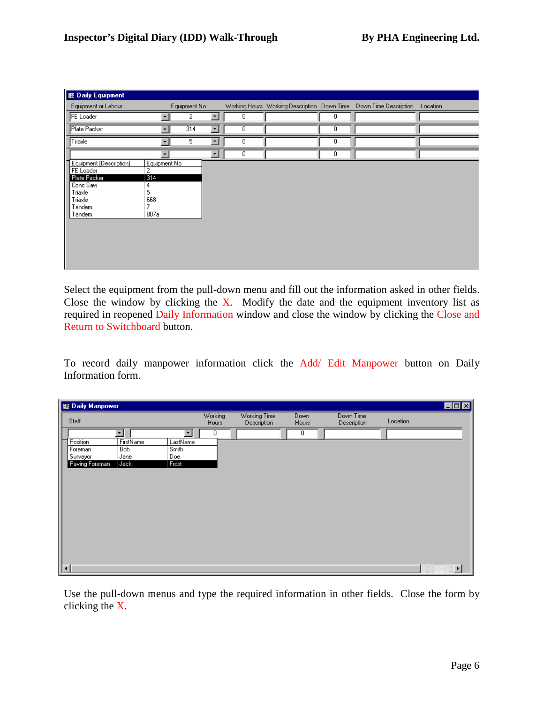| <b>B</b> Daily Equipment  |                          |              |         |   |   |                                                                   |          |
|---------------------------|--------------------------|--------------|---------|---|---|-------------------------------------------------------------------|----------|
| Equipment or Labour       |                          | Equipment No |         |   |   | Working Hours Working Description Down Time Down Time Description | Location |
| <b>FE</b> Loader          | ▼                        | 2            | ۰       | 0 | 0 |                                                                   |          |
| Plate Packer              | ۰                        | 314          | $\vert$ | 0 | Ω |                                                                   |          |
| Triaxle                   | $\overline{\phantom{a}}$ | 5            | $\vert$ | 0 | 0 |                                                                   |          |
|                           | ۰                        |              | $\vert$ | 0 | 0 |                                                                   |          |
| Equipment (Description)   | Equipment No             |              |         |   |   |                                                                   |          |
| FE Loader<br>Plate Packer | 2<br>314                 |              |         |   |   |                                                                   |          |
| Conc Saw                  | 4                        |              |         |   |   |                                                                   |          |
| Triaxle                   | 5                        |              |         |   |   |                                                                   |          |
| Triaxle                   | 668                      |              |         |   |   |                                                                   |          |
| Tandem                    | 7                        |              |         |   |   |                                                                   |          |
| Tandem                    | 807a                     |              |         |   |   |                                                                   |          |
|                           |                          |              |         |   |   |                                                                   |          |
|                           |                          |              |         |   |   |                                                                   |          |
|                           |                          |              |         |   |   |                                                                   |          |
|                           |                          |              |         |   |   |                                                                   |          |
|                           |                          |              |         |   |   |                                                                   |          |
|                           |                          |              |         |   |   |                                                                   |          |

Select the equipment from the pull-down menu and fill out the information asked in other fields. Close the window by clicking the X. Modify the date and the equipment inventory list as required in reopened Daily Information window and close the window by clicking the Close and Return to Switchboard button.

To record daily manpower information click the Add/ Edit Manpower button on Daily Information form.

| <b>B</b> Daily Manpower |                      |          |                  |                             |               |                          |          | $\blacksquare$ $\blacksquare$ |
|-------------------------|----------------------|----------|------------------|-----------------------------|---------------|--------------------------|----------|-------------------------------|
| Staff                   |                      |          | Working<br>Hours | Working Time<br>Description | Down<br>Hours | Down Time<br>Description | Location |                               |
|                         | $\blacktriangledown$ | ۰        | 0                |                             | 0             |                          |          |                               |
| Position                | FirstName            | LastName |                  |                             |               |                          |          |                               |
| Foreman                 | <b>Bob</b>           | Smith    |                  |                             |               |                          |          |                               |
| Surveyor                | Jane                 | Doe      |                  |                             |               |                          |          |                               |
| Paving Foreman          | Jack                 | Frost    |                  |                             |               |                          |          |                               |
|                         |                      |          |                  |                             |               |                          |          |                               |
|                         |                      |          |                  |                             |               |                          |          |                               |
|                         |                      |          |                  |                             |               |                          |          |                               |
| $\overline{a}$          |                      |          |                  |                             |               |                          |          |                               |
|                         |                      |          |                  |                             |               |                          |          |                               |
|                         |                      |          |                  |                             |               |                          |          |                               |
|                         |                      |          |                  |                             |               |                          |          |                               |
|                         |                      |          |                  |                             |               |                          |          |                               |
|                         |                      |          |                  |                             |               |                          |          |                               |
|                         |                      |          |                  |                             |               |                          |          |                               |
|                         |                      |          |                  |                             |               |                          |          |                               |
|                         |                      |          |                  |                             |               |                          |          |                               |
|                         |                      |          |                  |                             |               |                          |          | $\blacktriangleright$         |

Use the pull-down menus and type the required information in other fields. Close the form by clicking the X.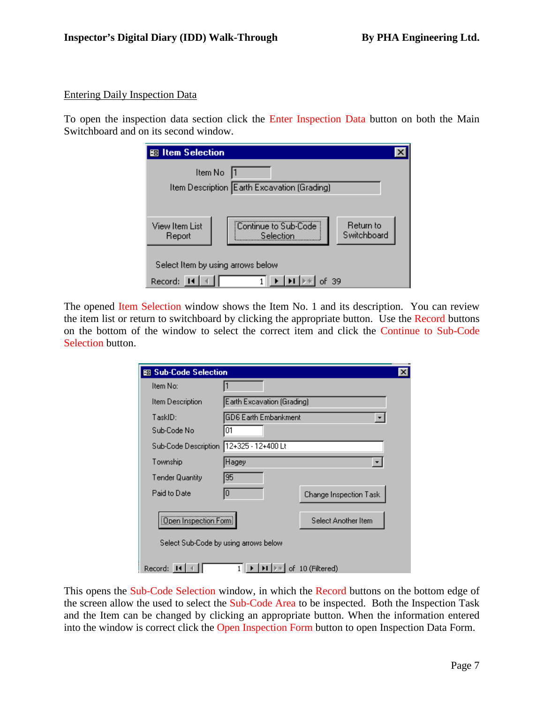#### Entering Daily Inspection Data

To open the inspection data section click the Enter Inspection Data button on both the Main Switchboard and on its second window.

| 图 Item Selection                             |                                                |             |  |  |  |  |  |  |
|----------------------------------------------|------------------------------------------------|-------------|--|--|--|--|--|--|
| Item No                                      | Item Description Earth Excavation (Grading)    |             |  |  |  |  |  |  |
|                                              |                                                |             |  |  |  |  |  |  |
| View Item List<br>Report                     | Continue to Sub-Code<br>Return to<br>Selection | Switchboard |  |  |  |  |  |  |
| Select Item by using arrows below<br>Record: | -39                                            |             |  |  |  |  |  |  |

The opened Item Selection window shows the Item No. 1 and its description. You can review the item list or return to switchboard by clicking the appropriate button. Use the Record buttons on the bottom of the window to select the correct item and click the Continue to Sub-Code Selection button.

| 图 Sub-Code Selection   |                                                              | × |
|------------------------|--------------------------------------------------------------|---|
| Item No:               |                                                              |   |
| Item Description       | Earth Excavation (Grading)                                   |   |
| TaskID:                | <b>GD6 Earth Embankment</b>                                  |   |
| Sub-Code No            | 01                                                           |   |
| Sub-Code Description   | 12+325 - 12+400 Lt                                           |   |
| Township               | Hagey                                                        |   |
| <b>Tender Quantity</b> | 95                                                           |   |
| Paid to Date           | 0<br>Change Inspection Task                                  |   |
| Dpen Inspection Form   | Select Another Item<br>Select Sub-Code by using arrows below |   |
|                        |                                                              |   |
| Record:                | of 10 (Filtered)                                             |   |

This opens the Sub-Code Selection window, in which the Record buttons on the bottom edge of the screen allow the used to select the Sub-Code Area to be inspected. Both the Inspection Task and the Item can be changed by clicking an appropriate button. When the information entered into the window is correct click the Open Inspection Form button to open Inspection Data Form.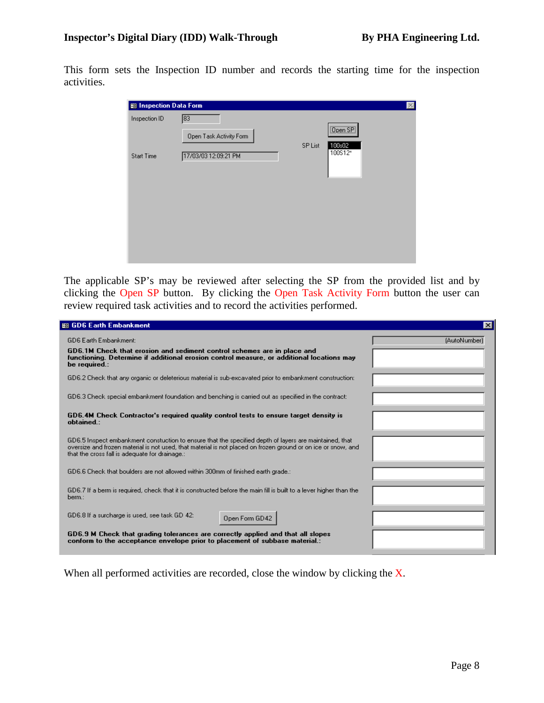This form sets the Inspection ID number and records the starting time for the inspection activities.

| 8 Inspection Data Form |                         |                              | $\vert x \vert$ |
|------------------------|-------------------------|------------------------------|-----------------|
| Inspection ID          | 83                      | <b>Open SP</b>               |                 |
|                        | Open Task Activity Form | 100s02<br>SP List<br>100S12* |                 |
| <b>Start Time</b>      | 17/03/03 12:09:21 PM    |                              |                 |
|                        |                         |                              |                 |
|                        |                         |                              |                 |
|                        |                         |                              |                 |
|                        |                         |                              |                 |

The applicable SP's may be reviewed after selecting the SP from the provided list and by clicking the Open SP button. By clicking the Open Task Activity Form button the user can review required task activities and to record the activities performed.

| 图 GD6 Earth Embankment                                                                                                                                                                                                                                                    | $\vert x \vert$ |
|---------------------------------------------------------------------------------------------------------------------------------------------------------------------------------------------------------------------------------------------------------------------------|-----------------|
| <b>GD6 Earth Embankment:</b><br>GD6.1M Check that erosion and sediment control schemes are in place and<br>functioning. Determine if additional erosion control measure, or additional locations may                                                                      | [AutoNumber]    |
| be required.:                                                                                                                                                                                                                                                             |                 |
| GD6.2 Check that any organic or deleterious material is sub-excavated prior to embankment construction:                                                                                                                                                                   |                 |
| GD6.3 Check special embankment foundation and benching is carried out as specified in the contract:                                                                                                                                                                       |                 |
| GD6.4M Check Contractor's required quality control tests to ensure target density is<br>obtained :                                                                                                                                                                        |                 |
| GD6.5 Inspect embankment constuction to ensure that the specified depth of layers are maintained, that<br>oversize and frozen material is not used, that material is not placed on frozen ground or on ice or snow, and<br>that the cross fall is adequate for drainage.: |                 |
| GD6.6 Check that boulders are not allowed within 300mm of finished earth grade.:                                                                                                                                                                                          |                 |
| GD6.7 If a berm is required, check that it is constructed before the main fill is built to a lever higher than the<br>berm.:                                                                                                                                              |                 |
| GD6.8 If a surcharge is used, see task GD 42:<br>Open Form GD42                                                                                                                                                                                                           |                 |
| GD6.9 M Check that grading tolerances are correctly applied and that all slopes<br>conform to the acceptance envelope prior to placement of subbase material.:                                                                                                            |                 |

When all performed activities are recorded, close the window by clicking the X.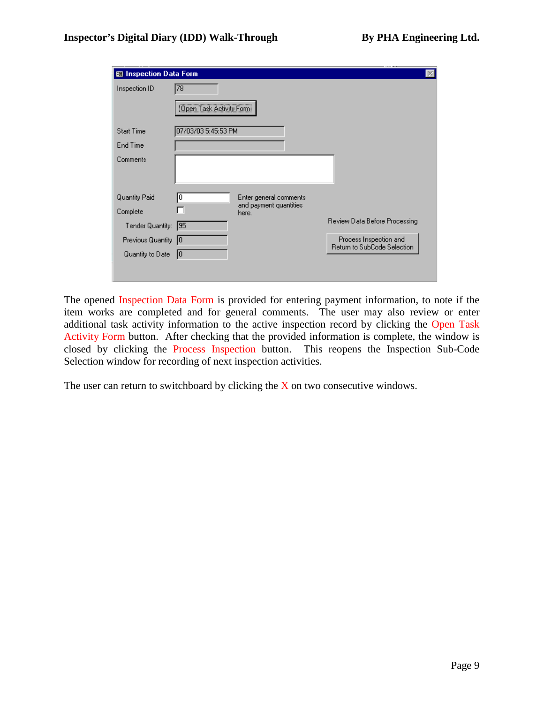| 图 Inspection Data Form |                                |                                 |                               |
|------------------------|--------------------------------|---------------------------------|-------------------------------|
| Inspection ID          | 78                             |                                 |                               |
|                        | <b>Open Task Activity Form</b> |                                 |                               |
| <b>Start Time</b>      | 07/03/03 5:45:53 PM            |                                 |                               |
| End Time               |                                |                                 |                               |
| Comments               |                                |                                 |                               |
| Quantity Paid          | 10                             | Enter general comments          |                               |
| Complete               |                                | and payment quantities<br>here. |                               |
| Tender Quantity:       | 195                            |                                 | Review Data Before Processing |
| Previous Quantity 0    |                                |                                 | Process Inspection and        |
| Quantity to Date       | 10                             |                                 | Return to SubCode Selection   |
|                        |                                |                                 |                               |

The opened Inspection Data Form is provided for entering payment information, to note if the item works are completed and for general comments. The user may also review or enter additional task activity information to the active inspection record by clicking the Open Task Activity Form button. After checking that the provided information is complete, the window is closed by clicking the Process Inspection button. This reopens the Inspection Sub-Code Selection window for recording of next inspection activities.

The user can return to switchboard by clicking the  $X$  on two consecutive windows.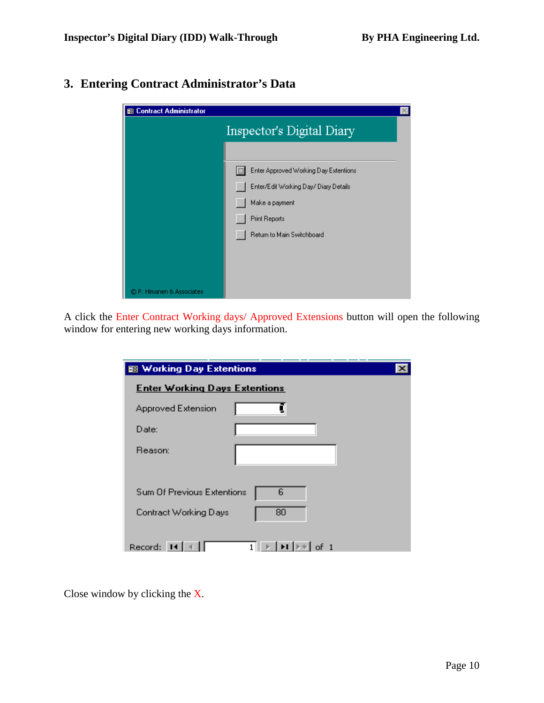# **3. Entering Contract Administrator's Data**

| 图 Contract Administrator  |                                            |  |
|---------------------------|--------------------------------------------|--|
|                           | Inspector's Digital Diary                  |  |
|                           |                                            |  |
|                           | E<br>Enter Approved Working Day Extentions |  |
|                           | Enter/Edit Working Day/ Diary Details      |  |
|                           | Make a payment                             |  |
|                           | <b>Print Reports</b>                       |  |
|                           | Return to Main Switchboard                 |  |
|                           |                                            |  |
|                           |                                            |  |
|                           |                                            |  |
| © P. Himanen & Associates |                                            |  |

A click the Enter Contract Working days/ Approved Extensions button will open the following window for entering new working days information.

| <b>SE Working Day Extentions</b>                                                           |  |
|--------------------------------------------------------------------------------------------|--|
| <b>Enter Working Days Extentions</b>                                                       |  |
| Approved Extension                                                                         |  |
| Date:                                                                                      |  |
| Reason:                                                                                    |  |
| 6<br>Sum Of Previous Extentions                                                            |  |
| Contract Working Days<br>80                                                                |  |
| $\blacktriangleright$ I $\blacktriangleright$ $\divideontimes$ $\parallel$ of 1<br>Record: |  |

Close window by clicking the X.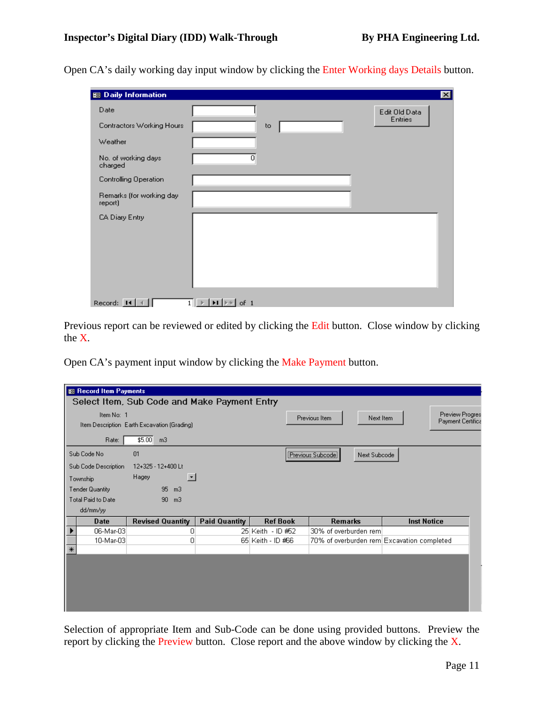Open CA's daily working day input window by clicking the Enter Working days Details button.

| <b>SB</b> Daily Information         |                                                                                      | $ \mathbf{x} $ |
|-------------------------------------|--------------------------------------------------------------------------------------|----------------|
| Date                                |                                                                                      | Edit Old Data  |
| Contractors Working Hours           | to                                                                                   | Entries        |
| Weather                             |                                                                                      |                |
| No. of working days<br>charged      | $\overline{0}$                                                                       |                |
| Controlling Operation               |                                                                                      |                |
| Remarks (for working day<br>report) |                                                                                      |                |
| CA Diary Entry                      |                                                                                      |                |
| Record: 14                          | $\blacktriangleright$ $\blacksquare$ $\triangleright$ $\#$<br>of 1<br>1 <sup>1</sup> |                |

Previous report can be reviewed or edited by clicking the Edit button. Close window by clicking the X.

Open CA's payment input window by clicking the Make Payment button.

| 图 Record Item Payments |                                              |                      |                   |                                            |                        |
|------------------------|----------------------------------------------|----------------------|-------------------|--------------------------------------------|------------------------|
|                        | Select Item, Sub Code and Make Payment Entry |                      |                   |                                            |                        |
| Item No: 1             |                                              |                      |                   |                                            | <b>Preview Progres</b> |
|                        | Item Description Earth Excavation (Grading)  |                      |                   | Next Item<br>Previous Item                 | Payment Certifica      |
|                        |                                              |                      |                   |                                            |                        |
| Rate:                  | \$5.00<br>m <sub>3</sub>                     |                      |                   |                                            |                        |
| Sub Code No            | 01                                           |                      |                   | (Previous Subcode)<br>Next Subcode         |                        |
| Sub Code Description   | 12+325 - 12+400 Lt                           |                      |                   |                                            |                        |
| Township               | Hagey<br>$\blacktriangledown$                |                      |                   |                                            |                        |
| Tender Quantity        | 95<br>m <sub>3</sub>                         |                      |                   |                                            |                        |
| Total Paid to Date     | 90 <sub>1</sub><br>m <sub>3</sub>            |                      |                   |                                            |                        |
| dd/mm/yy               |                                              |                      |                   |                                            |                        |
| <b>Date</b>            | <b>Revised Quantity</b>                      | <b>Paid Quantity</b> | <b>Ref Book</b>   | <b>Remarks</b>                             | <b>Inst Notice</b>     |
| 06-Mar-03              | 0                                            |                      | 25 Keith - ID #52 | 30% of overburden rem                      |                        |
| 10-Mar-03              | 0                                            |                      | 65 Keith - ID #66 | 70% of overburden rem Excavation completed |                        |
| $\ast$                 |                                              |                      |                   |                                            |                        |
|                        |                                              |                      |                   |                                            |                        |
|                        |                                              |                      |                   |                                            |                        |
|                        |                                              |                      |                   |                                            |                        |
|                        |                                              |                      |                   |                                            |                        |
|                        |                                              |                      |                   |                                            |                        |
|                        |                                              |                      |                   |                                            |                        |

Selection of appropriate Item and Sub-Code can be done using provided buttons. Preview the report by clicking the Preview button. Close report and the above window by clicking the X.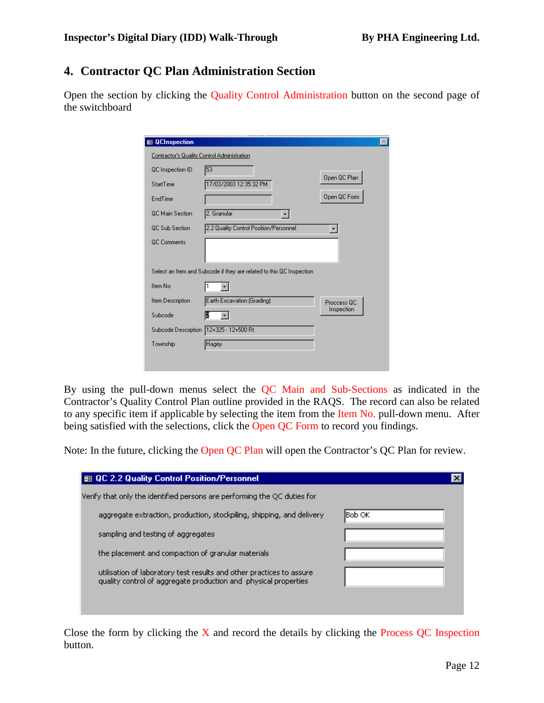### **4. Contractor QC Plan Administration Section**

Open the section by clicking the Quality Control Administration button on the second page of the switchboard

| <b>SB</b> QCInspection                      |                                                                      |              |
|---------------------------------------------|----------------------------------------------------------------------|--------------|
| Contractor's Quality Control Administration |                                                                      |              |
| QC Inspection ID                            | 53                                                                   |              |
| <b>StartTime</b>                            | 17/03/2003 12:35:32 PM                                               | Open QC Plan |
| EndTime                                     |                                                                      | Open QC Form |
| <b>QC</b> Main Section                      | 2. Granular                                                          |              |
| <b>QC Sub Section</b>                       | 2.2 Quality Control Position/Personnel                               |              |
| <b>QC</b> Comments                          |                                                                      |              |
|                                             | Select an Item and Subcode if they are related to this QC Inspection |              |
| Item No.                                    |                                                                      |              |
| Item Description                            | Earth Excavation (Grading)                                           | Proccess QC  |
| Subcode                                     | Ľ                                                                    | Inspection   |
| Subcode Description                         | 12+325 - 12+500 Rt                                                   |              |
| Township                                    | Hagey                                                                |              |
|                                             |                                                                      |              |
|                                             |                                                                      |              |

By using the pull-down menus select the QC Main and Sub-Sections as indicated in the Contractor's Quality Control Plan outline provided in the RAQS. The record can also be related to any specific item if applicable by selecting the item from the Item No. pull-down menu. After being satisfied with the selections, click the Open OC Form to record you findings.

Note: In the future, clicking the Open QC Plan will open the Contractor's QC Plan for review.

| 图 QC 2.2 Quality Control Position/Personnel                                                                                             |         |
|-----------------------------------------------------------------------------------------------------------------------------------------|---------|
| Verify that only the identified persons are performing the QC duties for                                                                |         |
| aggregate extraction, production, stockpiling, shipping, and delivery                                                                   | lBob OK |
| sampling and testing of aggregates                                                                                                      |         |
| the placement and compaction of granular materials                                                                                      |         |
| utilisation of laboratory test results and other practices to assure<br>quality control of aggregate production and physical properties |         |
|                                                                                                                                         |         |

Close the form by clicking the  $X$  and record the details by clicking the Process QC Inspection button.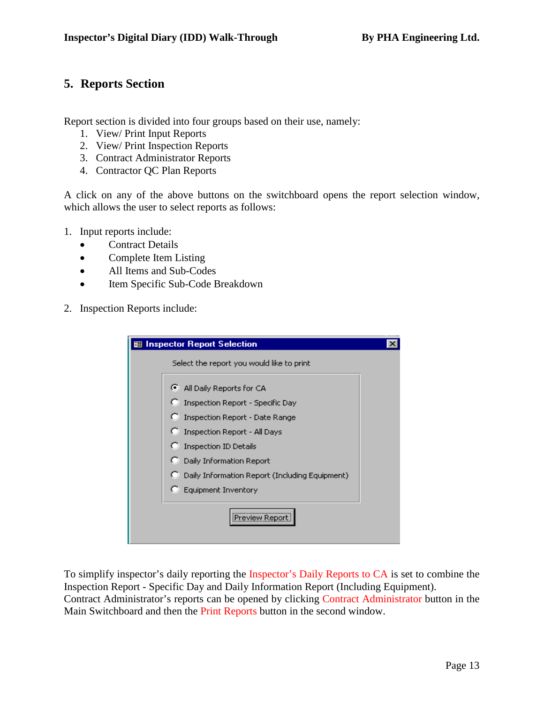### **5. Reports Section**

Report section is divided into four groups based on their use, namely:

- 1. View/ Print Input Reports
- 2. View/ Print Inspection Reports
- 3. Contract Administrator Reports
- 4. Contractor QC Plan Reports

A click on any of the above buttons on the switchboard opens the report selection window, which allows the user to select reports as follows:

- 1. Input reports include:
	- Contract Details
	- Complete Item Listing
	- All Items and Sub-Codes
	- Item Specific Sub-Code Breakdown
- 2. Inspection Reports include:

| 图 Inspector Report Selection                   |  |
|------------------------------------------------|--|
| Select the report you would like to print      |  |
| All Daily Reports for CA                       |  |
| Inspection Report - Specific Day               |  |
| Inspection Report - Date Range                 |  |
| Inspection Report - All Days                   |  |
| <b>Inspection ID Details</b>                   |  |
| <b>C</b> Daily Information Report              |  |
| Daily Information Report (Including Equipment) |  |
| <b>Equipment Inventory</b>                     |  |
| Preview Repor                                  |  |

To simplify inspector's daily reporting the Inspector's Daily Reports to CA is set to combine the Inspection Report - Specific Day and Daily Information Report (Including Equipment). Contract Administrator's reports can be opened by clicking Contract Administrator button in the Main Switchboard and then the Print Reports button in the second window.